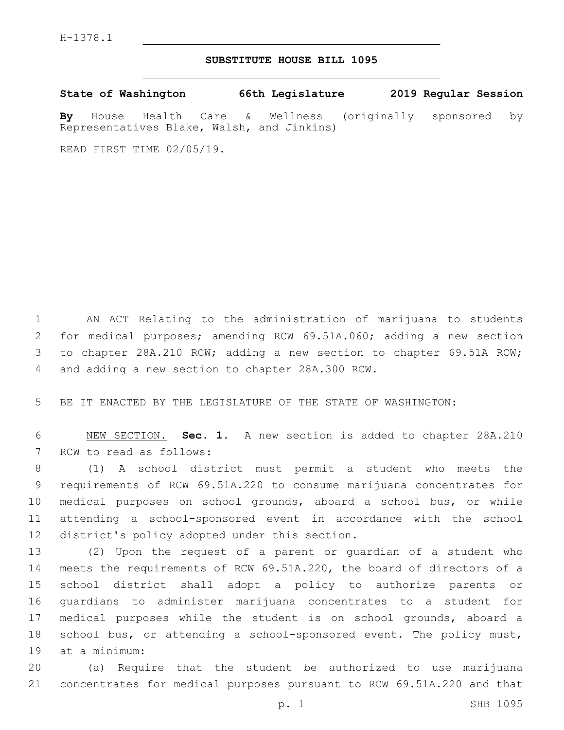## **SUBSTITUTE HOUSE BILL 1095**

**State of Washington 66th Legislature 2019 Regular Session**

**By** House Health Care & Wellness (originally sponsored by Representatives Blake, Walsh, and Jinkins)

READ FIRST TIME 02/05/19.

 AN ACT Relating to the administration of marijuana to students for medical purposes; amending RCW 69.51A.060; adding a new section to chapter 28A.210 RCW; adding a new section to chapter 69.51A RCW; 4 and adding a new section to chapter 28A.300 RCW.

BE IT ENACTED BY THE LEGISLATURE OF THE STATE OF WASHINGTON:

 NEW SECTION. **Sec. 1.** A new section is added to chapter 28A.210 7 RCW to read as follows:

 (1) A school district must permit a student who meets the requirements of RCW 69.51A.220 to consume marijuana concentrates for medical purposes on school grounds, aboard a school bus, or while attending a school-sponsored event in accordance with the school 12 district's policy adopted under this section.

 (2) Upon the request of a parent or guardian of a student who meets the requirements of RCW 69.51A.220, the board of directors of a school district shall adopt a policy to authorize parents or guardians to administer marijuana concentrates to a student for medical purposes while the student is on school grounds, aboard a school bus, or attending a school-sponsored event. The policy must, 19 at a minimum:

 (a) Require that the student be authorized to use marijuana concentrates for medical purposes pursuant to RCW 69.51A.220 and that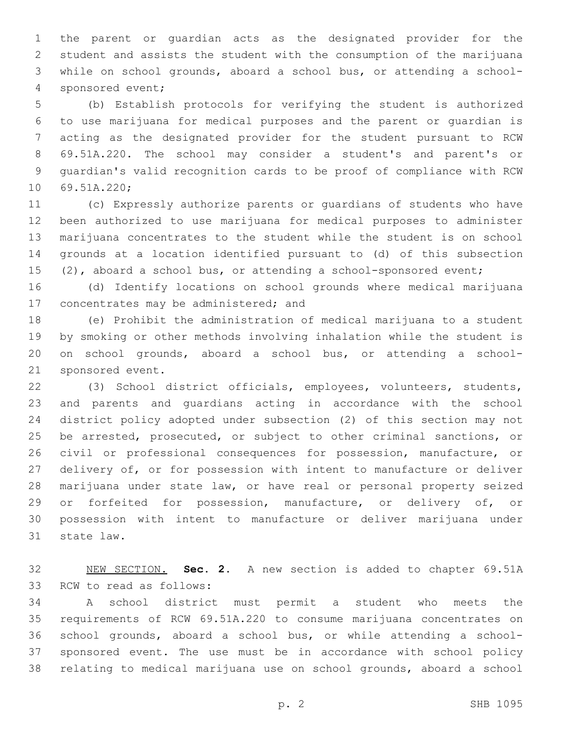the parent or guardian acts as the designated provider for the student and assists the student with the consumption of the marijuana while on school grounds, aboard a school bus, or attending a school-4 sponsored event;

 (b) Establish protocols for verifying the student is authorized to use marijuana for medical purposes and the parent or guardian is acting as the designated provider for the student pursuant to RCW 69.51A.220. The school may consider a student's and parent's or guardian's valid recognition cards to be proof of compliance with RCW 10 69.51A.220;

 (c) Expressly authorize parents or guardians of students who have been authorized to use marijuana for medical purposes to administer marijuana concentrates to the student while the student is on school grounds at a location identified pursuant to (d) of this subsection 15 (2), aboard a school bus, or attending a school-sponsored event;

 (d) Identify locations on school grounds where medical marijuana 17 concentrates may be administered; and

 (e) Prohibit the administration of medical marijuana to a student by smoking or other methods involving inhalation while the student is on school grounds, aboard a school bus, or attending a school-21 sponsored event.

 (3) School district officials, employees, volunteers, students, and parents and guardians acting in accordance with the school district policy adopted under subsection (2) of this section may not be arrested, prosecuted, or subject to other criminal sanctions, or civil or professional consequences for possession, manufacture, or delivery of, or for possession with intent to manufacture or deliver marijuana under state law, or have real or personal property seized or forfeited for possession, manufacture, or delivery of, or possession with intent to manufacture or deliver marijuana under 31 state law.

 NEW SECTION. **Sec. 2.** A new section is added to chapter 69.51A 33 RCW to read as follows:

 A school district must permit a student who meets the requirements of RCW 69.51A.220 to consume marijuana concentrates on school grounds, aboard a school bus, or while attending a school- sponsored event. The use must be in accordance with school policy relating to medical marijuana use on school grounds, aboard a school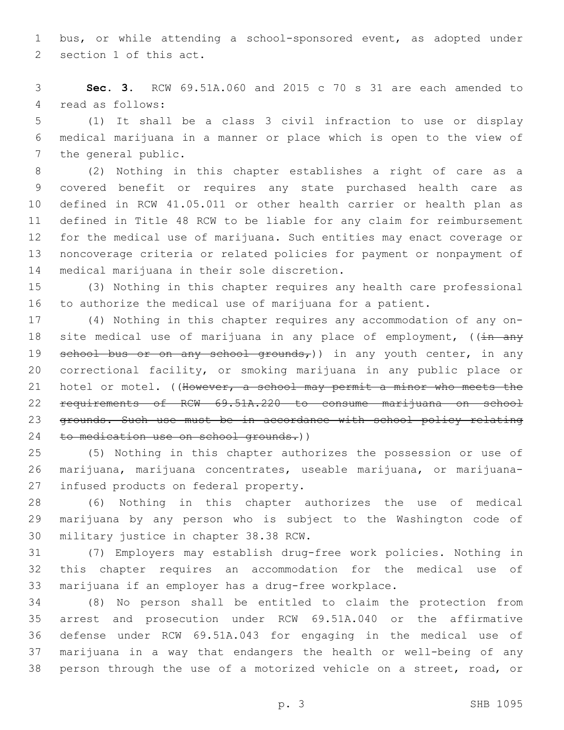bus, or while attending a school-sponsored event, as adopted under 2 section 1 of this act.

 **Sec. 3.** RCW 69.51A.060 and 2015 c 70 s 31 are each amended to 4 read as follows:

 (1) It shall be a class 3 civil infraction to use or display medical marijuana in a manner or place which is open to the view of 7 the general public.

 (2) Nothing in this chapter establishes a right of care as a covered benefit or requires any state purchased health care as defined in RCW 41.05.011 or other health carrier or health plan as defined in Title 48 RCW to be liable for any claim for reimbursement for the medical use of marijuana. Such entities may enact coverage or noncoverage criteria or related policies for payment or nonpayment of 14 medical marijuana in their sole discretion.

 (3) Nothing in this chapter requires any health care professional to authorize the medical use of marijuana for a patient.

 (4) Nothing in this chapter requires any accommodation of any on-18 site medical use of marijuana in any place of employment,  $((\frac{1}{11} + \frac{1}{21})$ 19 school bus or on any school grounds,)) in any youth center, in any correctional facility, or smoking marijuana in any public place or 21 hotel or motel. ((However, a school may permit a minor who meets the requirements of RCW 69.51A.220 to consume marijuana on school grounds. Such use must be in accordance with school policy relating 24 to medication use on school grounds.))

 (5) Nothing in this chapter authorizes the possession or use of marijuana, marijuana concentrates, useable marijuana, or marijuana-27 infused products on federal property.

 (6) Nothing in this chapter authorizes the use of medical marijuana by any person who is subject to the Washington code of 30 military justice in chapter 38.38 RCW.

 (7) Employers may establish drug-free work policies. Nothing in this chapter requires an accommodation for the medical use of marijuana if an employer has a drug-free workplace.

 (8) No person shall be entitled to claim the protection from arrest and prosecution under RCW 69.51A.040 or the affirmative defense under RCW 69.51A.043 for engaging in the medical use of marijuana in a way that endangers the health or well-being of any person through the use of a motorized vehicle on a street, road, or